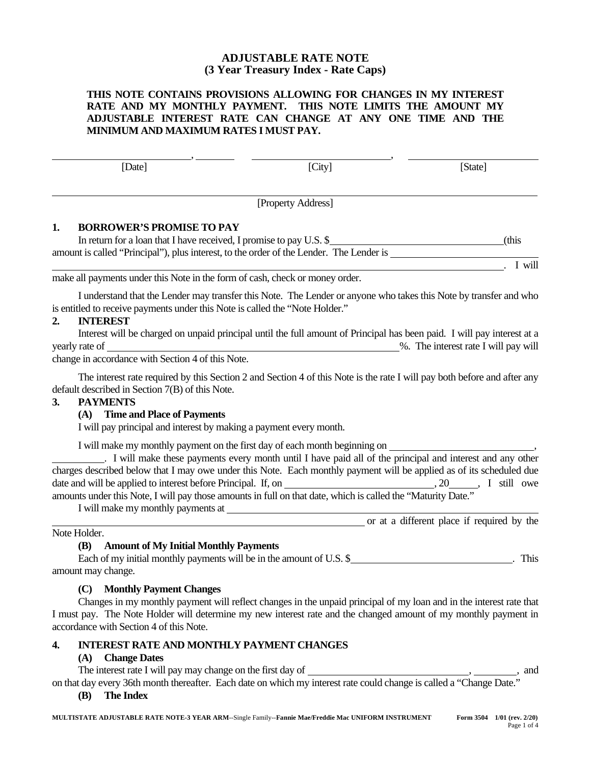## **ADJUSTABLE RATE NOTE (3 Year Treasury Index - Rate Caps)**

## **THIS NOTE CONTAINS PROVISIONS ALLOWING FOR CHANGES IN MY INTEREST RATE AND MY MONTHLY PAYMENT. THIS NOTE LIMITS THE AMOUNT MY ADJUSTABLE INTEREST RATE CAN CHANGE AT ANY ONE TIME AND THE MINIMUM AND MAXIMUM RATES I MUST PAY.**

, ,

[Date] [City] [State]

. I will

[Property Address]

## **1. BORROWER'S PROMISE TO PAY**

| In return for a loan that I have received, I promise to pay U.S. \$                     | (this |
|-----------------------------------------------------------------------------------------|-------|
| amount is called "Principal"), plus interest, to the order of the Lender. The Lender is |       |

make all payments under this Note in the form of cash, check or money order.

I understand that the Lender may transfer this Note. The Lender or anyone who takes this Note by transfer and who is entitled to receive payments under this Note is called the "Note Holder."

## **2. INTEREST**

Interest will be charged on unpaid principal until the full amount of Principal has been paid. I will pay interest at a yearly rate of %. The interest rate I will pay will

change in accordance with Section 4 of this Note.

The interest rate required by this Section 2 and Section 4 of this Note is the rate I will pay both before and after any default described in Section 7(B) of this Note.

### **3. PAYMENTS**

### **(A) Time and Place of Payments**

I will pay principal and interest by making a payment every month.

I will make my monthly payment on the first day of each month beginning on  $\overline{\phantom{a}}$ 

|                                                                                                              | . I will make these payments every month until I have paid all of the principal and interest and any other           |  |  |
|--------------------------------------------------------------------------------------------------------------|----------------------------------------------------------------------------------------------------------------------|--|--|
|                                                                                                              | charges described below that I may owe under this Note. Each monthly payment will be applied as of its scheduled due |  |  |
| date and will be applied to interest before Principal. If, on                                                | . 20 . I still owe                                                                                                   |  |  |
| amounts under this Note, I will pay those amounts in full on that date, which is called the "Maturity Date." |                                                                                                                      |  |  |
| I will make my monthly payments at                                                                           |                                                                                                                      |  |  |

Note Holder.

or at a different place if required by the

# **(B) Amount of My Initial Monthly Payments**

Each of my initial monthly payments will be in the amount of U.S. \$ amount may change.

### **(C) Monthly Payment Changes**

Changes in my monthly payment will reflect changes in the unpaid principal of my loan and in the interest rate that I must pay. The Note Holder will determine my new interest rate and the changed amount of my monthly payment in accordance with Section 4 of this Note.

# **4. INTEREST RATE AND MONTHLY PAYMENT CHANGES**

### **(A) Change Dates**

The interest rate I will pay may change on the first day of , , and

on that day every 36th month thereafter. Each date on which my interest rate could change is called a "Change Date."

### **(B) The Index**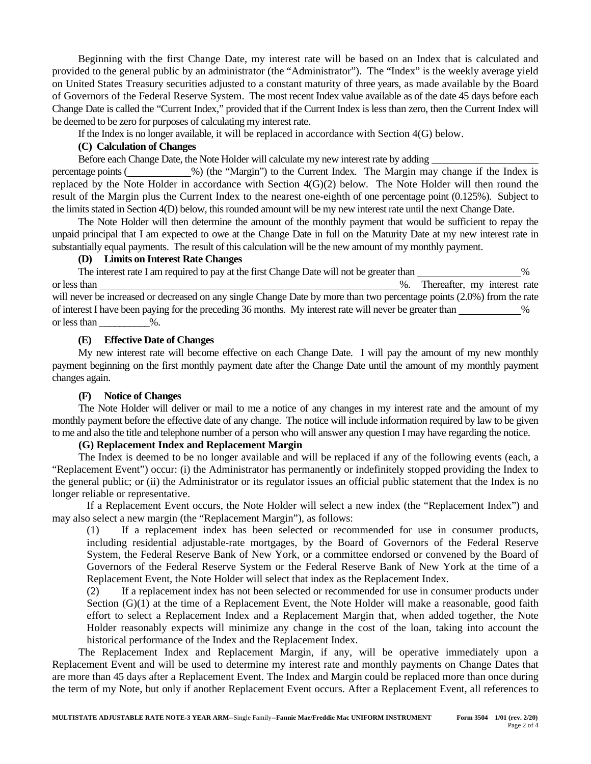Beginning with the first Change Date, my interest rate will be based on an Index that is calculated and provided to the general public by an administrator (the "Administrator"). The "Index" is the weekly average yield on United States Treasury securities adjusted to a constant maturity of three years, as made available by the Board of Governors of the Federal Reserve System. The most recent Index value available as of the date 45 days before each Change Date is called the "Current Index," provided that if the Current Index is less than zero, then the Current Index will be deemed to be zero for purposes of calculating my interest rate.

If the Index is no longer available, it will be replaced in accordance with Section 4(G) below.

### **(C) Calculation of Changes**

Before each Change Date, the Note Holder will calculate my new interest rate by adding

percentage points ( %) (the "Margin") to the Current Index. The Margin may change if the Index is replaced by the Note Holder in accordance with Section 4(G)(2) below. The Note Holder will then round the result of the Margin plus the Current Index to the nearest one-eighth of one percentage point (0.125%). Subject to the limits stated in Section 4(D) below, this rounded amount will be my new interest rate until the next Change Date.

The Note Holder will then determine the amount of the monthly payment that would be sufficient to repay the unpaid principal that I am expected to owe at the Change Date in full on the Maturity Date at my new interest rate in substantially equal payments. The result of this calculation will be the new amount of my monthly payment.

#### **(D) Limits on Interest Rate Changes**

The interest rate I am required to pay at the first Change Date will not be greater than  $\%$ or less than  $\%$ . Thereafter, my interest rate will never be increased or decreased on any single Change Date by more than two percentage points (2.0%) from the rate of interest I have been paying for the preceding 36 months. My interest rate will never be greater than % or less than  $\%$ .

### **(E) Effective Date of Changes**

My new interest rate will become effective on each Change Date. I will pay the amount of my new monthly payment beginning on the first monthly payment date after the Change Date until the amount of my monthly payment changes again.

### **(F) Notice of Changes**

The Note Holder will deliver or mail to me a notice of any changes in my interest rate and the amount of my monthly payment before the effective date of any change. The notice will include information required by law to be given to me and also the title and telephone number of a person who will answer any question I may have regarding the notice.

### **(G) Replacement Index and Replacement Margin**

The Index is deemed to be no longer available and will be replaced if any of the following events (each, a "Replacement Event") occur: (i) the Administrator has permanently or indefinitely stopped providing the Index to the general public; or (ii) the Administrator or its regulator issues an official public statement that the Index is no longer reliable or representative.

If a Replacement Event occurs, the Note Holder will select a new index (the "Replacement Index") and may also select a new margin (the "Replacement Margin"), as follows:

(1) If a replacement index has been selected or recommended for use in consumer products, including residential adjustable-rate mortgages, by the Board of Governors of the Federal Reserve System, the Federal Reserve Bank of New York, or a committee endorsed or convened by the Board of Governors of the Federal Reserve System or the Federal Reserve Bank of New York at the time of a Replacement Event, the Note Holder will select that index as the Replacement Index.

(2) If a replacement index has not been selected or recommended for use in consumer products under Section  $(G)(1)$  at the time of a Replacement Event, the Note Holder will make a reasonable, good faith effort to select a Replacement Index and a Replacement Margin that, when added together, the Note Holder reasonably expects will minimize any change in the cost of the loan, taking into account the historical performance of the Index and the Replacement Index.

The Replacement Index and Replacement Margin, if any, will be operative immediately upon a Replacement Event and will be used to determine my interest rate and monthly payments on Change Dates that are more than 45 days after a Replacement Event. The Index and Margin could be replaced more than once during the term of my Note, but only if another Replacement Event occurs. After a Replacement Event, all references to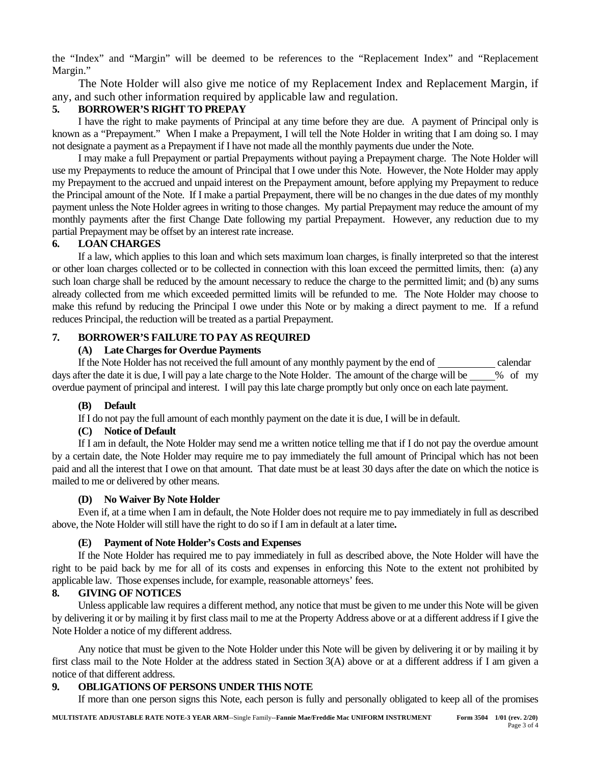the "Index" and "Margin" will be deemed to be references to the "Replacement Index" and "Replacement Margin."

The Note Holder will also give me notice of my Replacement Index and Replacement Margin, if any, and such other information required by applicable law and regulation.

## **5. BORROWER'S RIGHT TO PREPAY**

I have the right to make payments of Principal at any time before they are due. A payment of Principal only is known as a "Prepayment." When I make a Prepayment, I will tell the Note Holder in writing that I am doing so. I may not designate a payment as a Prepayment if I have not made all the monthly payments due under the Note.

I may make a full Prepayment or partial Prepayments without paying a Prepayment charge. The Note Holder will use my Prepayments to reduce the amount of Principal that I owe under this Note. However, the Note Holder may apply my Prepayment to the accrued and unpaid interest on the Prepayment amount, before applying my Prepayment to reduce the Principal amount of the Note. If I make a partial Prepayment, there will be no changes in the due dates of my monthly payment unless the Note Holder agrees in writing to those changes. My partial Prepayment may reduce the amount of my monthly payments after the first Change Date following my partial Prepayment. However, any reduction due to my partial Prepayment may be offset by an interest rate increase.

## **6. LOAN CHARGES**

If a law, which applies to this loan and which sets maximum loan charges, is finally interpreted so that the interest or other loan charges collected or to be collected in connection with this loan exceed the permitted limits, then: (a) any such loan charge shall be reduced by the amount necessary to reduce the charge to the permitted limit; and (b) any sums already collected from me which exceeded permitted limits will be refunded to me. The Note Holder may choose to make this refund by reducing the Principal I owe under this Note or by making a direct payment to me. If a refund reduces Principal, the reduction will be treated as a partial Prepayment.

## **7. BORROWER'S FAILURE TO PAY AS REQUIRED**

### **(A) Late Charges for Overdue Payments**

If the Note Holder has not received the full amount of any monthly payment by the end of calendar days after the date it is due, I will pay a late charge to the Note Holder. The amount of the charge will be  $\%$  of my overdue payment of principal and interest. I will pay this late charge promptly but only once on each late payment.

### **(B) Default**

If I do not pay the full amount of each monthly payment on the date it is due, I will be in default.

### **(C) Notice of Default**

If I am in default, the Note Holder may send me a written notice telling me that if I do not pay the overdue amount by a certain date, the Note Holder may require me to pay immediately the full amount of Principal which has not been paid and all the interest that I owe on that amount. That date must be at least 30 days after the date on which the notice is mailed to me or delivered by other means.

### **(D) No Waiver By Note Holder**

Even if, at a time when I am in default, the Note Holder does not require me to pay immediately in full as described above, the Note Holder will still have the right to do so if I am in default at a later time**.**

### **(E) Payment of Note Holder's Costs and Expenses**

If the Note Holder has required me to pay immediately in full as described above, the Note Holder will have the right to be paid back by me for all of its costs and expenses in enforcing this Note to the extent not prohibited by applicable law. Those expenses include, for example, reasonable attorneys' fees.

### **8. GIVING OF NOTICES**

Unless applicable law requires a different method, any notice that must be given to me under this Note will be given by delivering it or by mailing it by first class mail to me at the Property Address above or at a different address if I give the Note Holder a notice of my different address.

Any notice that must be given to the Note Holder under this Note will be given by delivering it or by mailing it by first class mail to the Note Holder at the address stated in Section 3(A) above or at a different address if I am given a notice of that different address.

## **9. OBLIGATIONS OF PERSONS UNDER THIS NOTE**

If more than one person signs this Note, each person is fully and personally obligated to keep all of the promises